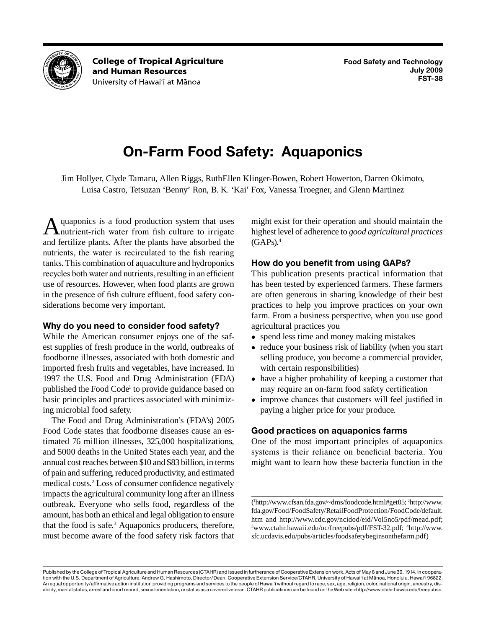

**College of Tropical Agriculture** and Human Resources University of Hawai'i at Mānoa

# **On-Farm Food Safety: Aquaponics**

Jim Hollyer, Clyde Tamaru, Allen Riggs, RuthEllen Klinger-Bowen, Robert Howerton, Darren Okimoto, Luisa Castro, Tetsuzan 'Benny' Ron, B. K. 'Kai' Fox, Vanessa Troegner, and Glenn Martinez

quaponics is a food production system that uses A quaponics is a food production system that uses<br>
nutrient-rich water from fish culture to irrigate nutrients, the water is recirculated to the fish rearing tanks. This combination of aquaculture and hydroponics recycles both water and nutrients, resulting in an efficient and fertilize plants. After the plants have absorbed the use of resources. However, when food plants are grown in the presence of fish culture effluent, food safety considerations become very important.

# **Why do you need to consider food safety?**

 1997 the U.S. Food and Drug Administration (FDA) While the American consumer enjoys one of the safest supplies of fresh produce in the world, outbreaks of foodborne illnesses, associated with both domestic and imported fresh fruits and vegetables, have increased. In published the Food Code<sup>1</sup> to provide guidance based on basic principles and practices associated with minimizing microbial food safety.

 annual cost reaches between \$10 and \$83 billion, in terms of pain and suffering, reduced productivity, and estimated impacts the agricultural community long after an illness outbreak. Everyone who sells food, regardless of the amount, has both an ethical and legal obligation to ensure The Food and Drug Administration's (FDA's) 2005 Food Code states that foodborne diseases cause an estimated 76 million illnesses, 325,000 hospitalizations, and 5000 deaths in the United States each year, and the medical costs.2 Loss of consumer confidence negatively that the food is safe. $3$  Aquaponics producers, therefore, must become aware of the food safety risk factors that

 highest level of adherence to *good agricultural practices*  might exist for their operation and should maintain the  $(GAPs).<sup>4</sup>$ 

# **How do you benefit from using GAPs?**

 This publication presents practical information that practices to help you improve practices on your own has been tested by experienced farmers. These farmers are often generous in sharing knowledge of their best farm. From a business perspective, when you use good agricultural practices you

- spend less time and money making mistakes
- reduce your business risk of liability (when you start selling produce, you become a commercial provider, with certain responsibilities)
- have a higher probability of keeping a customer that may require an on-farm food safety certification
- improve chances that customers will feel justified in paying a higher price for your produce.

# **Good practices on aquaponics farms**

 One of the most important principles of aquaponics systems is their reliance on beneficial bacteria. You might want to learn how these bacteria function in the

 [htm](http://www.fda.gov/Food/FoodSafety/RetailFoodProtection/FoodCode/default.htm) and [http://www.cdc.gov/ncidod/eid/Vol5no5/pdf/mead.pdf;](http://www.cdc.gov/ncidod/eid/Vol5no5/pdf/mead.pdf) ( 1 [http://www.cfsan.fda.gov/~dms/foodcode.html#get05;](http://www.cfsan.fda.gov/~dms/foodcode.html#get05) 2 [http://www.](http://www.fda.gov/Food/FoodSafety/RetailFoodProtection/FoodCode/default.htm) [fda.gov/Food/FoodSafety/RetailFoodProtection/FoodCode/default.](http://www.fda.gov/Food/FoodSafety/RetailFoodProtection/FoodCode/default.htm) 3 <www.ctahr.hawaii.edu/oc/freepubs/pdf/FST-32.pdf>; 4 [http://www.](http://www.sfc.ucdavis.edu/pubs/articles/foodsafetybeginsonthefarm.pdf) [sfc.ucdavis.edu/pubs/articles/foodsafetybeginsonthefarm.pdf](http://www.sfc.ucdavis.edu/pubs/articles/foodsafetybeginsonthefarm.pdf))

 Published by the College of Tropical Agriculture and Human Resources (CTAHR) and issued in furtherance of Cooperative Extension work, Acts of May 8 and June 30, 1914, in coopera- tion with the U.S. Department of Agriculture. Andrew G. Hashimoto, Director/Dean, Cooperative Extension Service/CTAHR, University of Hawai'i at Mānoa, Honolulu, Hawai'i 96822. An equal opportunity/affirmative action institution providing programs and services to the people of Hawai'i without regard to race, sex, age, religion, color, national origin, ancestry, dis-ability, marital status, arrest and court record, sexual orientation, or status as a covered veteran. CTAHR publications can be found on the Web site <http://www.ctahr.hawaii.edu/freepubs>.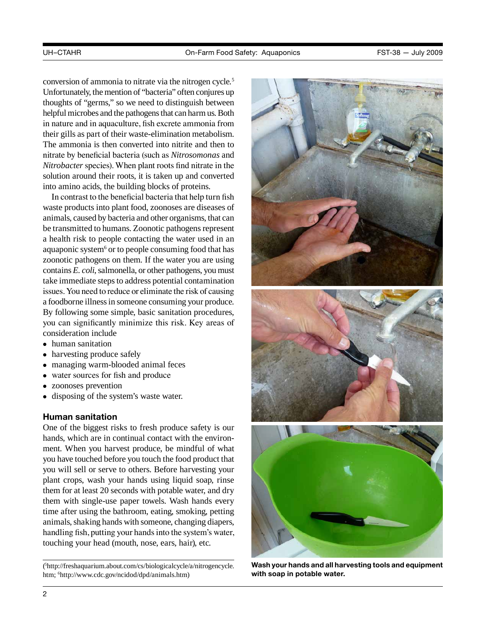conversion of ammonia to nitrate via the nitrogen cycle.<sup>5</sup> Unfortunately, the mention of "bacteria" often conjures up thoughts of "germs," so we need to distinguish between helpful microbes and the pathogens that can harm us. Both in nature and in aquaculture, fish excrete ammonia from their gills as part of their waste-elimination metabolism. The ammonia is then converted into nitrite and then to nitrate by beneficial bacteria (such as *Nitrosomonas* and *Nitrobacter* species). When plant roots find nitrate in the solution around their roots, it is taken up and converted into amino acids, the building blocks of proteins.

 animals, caused by bacteria and other organisms, that can be transmitted to humans. Zoonotic pathogens represent contains *E. coli*, salmonella, or other pathogens, you must take immediate steps to address potential contamination issues. You need to reduce or eliminate the risk of causing a foodborne illness in someone consuming your produce. In contrast to the beneficial bacteria that help turn fish waste products into plant food, zoonoses are diseases of a health risk to people contacting the water used in an aquaponic system $6$  or to people consuming food that has zoonotic pathogens on them. If the water you are using By following some simple, basic sanitation procedures, you can significantly minimize this risk. Key areas of consideration include

- human sanitation<br>• harvesting produce
- harvesting produce safely
- managing warm-blooded animal feces
- water sources for fish and produce
- zoonoses prevention
- disposing of the system's waste water.

#### **Human sanitation**

 animals, shaking hands with someone, changing diapers, handling fish, putting your hands into the system's water, One of the biggest risks to fresh produce safety is our hands, which are in continual contact with the environment. When you harvest produce, be mindful of what you have touched before you touch the food product that you will sell or serve to others. Before harvesting your plant crops, wash your hands using liquid soap, rinse them for at least 20 seconds with potable water, and dry them with single-use paper towels. Wash hands every time after using the bathroom, eating, smoking, petting touching your head (mouth, nose, ears, hair), etc.

( 5 [http://freshaquarium.about.com/cs/biologicalcycle/a/nitrogencycle.](http://freshaquarium.about.com/cs/biologicalcycle/a/nitrogencycle.htm) [htm](http://freshaquarium.about.com/cs/biologicalcycle/a/nitrogencycle.htm); 6 [http://www.cdc.gov/ncidod/dpd/animals.htm\)](http://www.cdc.gov/ncidod/dpd/animals.htm)



 **Wash your hands and all harvesting tools and equipment with soap in potable water.**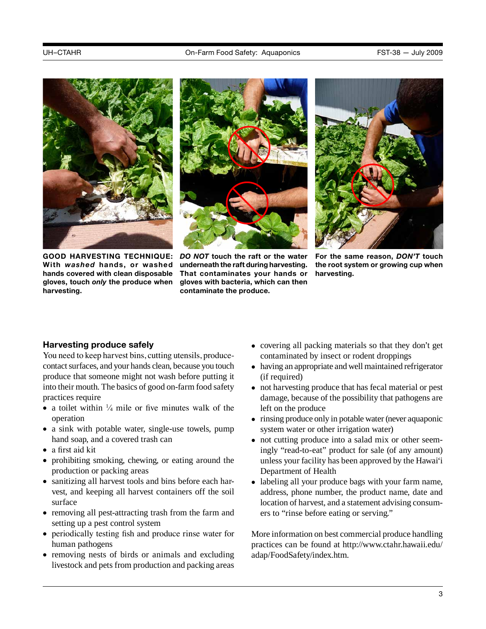



 **hands covered with clean disposable That contaminates your hands or harvesting. With** *washed* **hands, or washed underneath the raft during harvesting. the root system or growing cup when GOOD HARVESTING TECHNIQUE:** *DO NOT* **touch the raft or the water gloves, touch** *only* **the produce when gloves with bacteria, which can then harvesting. harvesting. harvesting. harvesting. harmoonly contaminate the produce.** 

underneath the raft during harvesting.



For the same reason, DON'T touch

# **Harvesting produce safely**

 You need to keep harvest bins, cutting utensils, produce- contact surfaces, and your hands clean, because you touch into their mouth. The basics of good on-farm food safety produce that someone might not wash before putting it practices require

- a toilet within  $\frac{1}{4}$  mile or five minutes walk of the operation
- a sink with potable water, single-use towels, pump hand soap, and a covered trash can
- a first aid kit
- prohibiting smoking, chewing, or eating around the production or packing areas
- sanitizing all harvest tools and bins before each harvest, and keeping all harvest containers off the soil surface
- removing all pest-attracting trash from the farm and setting up a pest control system
- periodically testing fish and produce rinse water for human pathogens
- • removing nests of birds or animals and excluding livestock and pets from production and packing areas
- covering all packing materials so that they don't get contaminated by insect or rodent droppings
- • having an appropriate and well maintained refrigerator (if required)
- not harvesting produce that has fecal material or pest damage, because of the possibility that pathogens are left on the produce
- • rinsing produce only in potable water (never aquaponic system water or other irrigation water)
- not cutting produce into a salad mix or other seemingly "read-to-eat" product for sale (of any amount) unless your facility has been approved by the Hawai'i Department of Health
- labeling all your produce bags with your farm name, address, phone number, the product name, date and location of harvest, and a statement advising consumers to "rinse before eating or serving."

 More information on best commercial produce handling practices can be found at [http://www.ctahr.hawaii.edu/](http://www.ctahr.hawaii.edu/adap/FoodSafety/index.htm) [adap/FoodSafety/index.htm](http://www.ctahr.hawaii.edu/adap/FoodSafety/index.htm).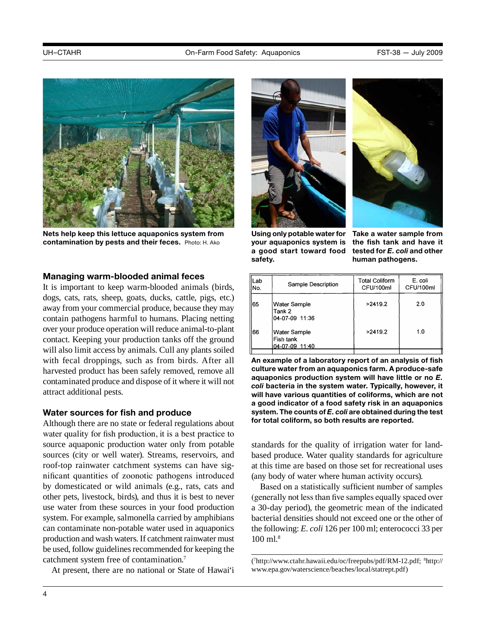

**nets help keep this lettuce aquaponics system from contamination by pests and their feces.** Photo: H. Ako

#### **Managing warm-blooded animal feces**

 dogs, cats, rats, sheep, goats, ducks, cattle, pigs, etc.) over your produce operation will reduce animal-to-plant with fecal droppings, such as from birds. After all It is important to keep warm-blooded animals (birds, away from your commercial produce, because they may contain pathogens harmful to humans. Placing netting contact. Keeping your production tanks off the ground will also limit access by animals. Cull any plants soiled harvested product has been safely removed, remove all contaminated produce and dispose of it where it will not attract additional pests.

#### **Water sources for fish and produce**

 sources (city or well water). Streams, reservoirs, and roof-top rainwater catchment systems can have sig- nificant quantities of zoonotic pathogens introduced by domesticated or wild animals (e.g., rats, cats and production and wash waters. If catchment rainwater must be used, follow guidelines recommended for keeping the Although there are no state or federal regulations about water quality for fish production, it is a best practice to source aquaponic production water only from potable other pets, livestock, birds), and thus it is best to never use water from these sources in your food production system. For example, salmonella carried by amphibians can contaminate non-potable water used in aquaponics catchment system free of contamination.7

At present, there are no national or State of Hawai'i





 **using only potable water for Take a water sample from a good start toward food tested for** *E. coli* **and other your aquaponics system is safety. human pathogens.** 

the fish tank and have it

| Lab<br>lNo. | Sample Description                          | <b>Total Coliform</b><br>CFU/100ml | E. coli<br>CFU/100ml |
|-------------|---------------------------------------------|------------------------------------|----------------------|
| 65          | Water Sample<br>Tank 2<br>04-07-09 11:36    | >2419.2                            | 2.0                  |
| 66          | Water Sample<br>Fish tank<br>04-07-09 11:40 | >2419.2                            | 1.0                  |

 **system. The counts of** *E. coli* **are obtained during the test An example of a laboratory report of an analysis of fish culture water from an aquaponics farm. A produce-safe aquaponics production system will have little or no** *E. coli* **bacteria in the system water. Typically, however, it will have various quantities of coliforms, which are not a good indicator of a food safety risk in an aquaponics for total coliform, so both results are reported.** 

 standards for the quality of irrigation water for landbased produce. Water quality standards for agriculture at this time are based on those set for recreational uses (any body of water where human activity occurs).

 (generally not less than five samples equally spaced over Based on a statistically sufficient number of samples a 30-day period), the geometric mean of the indicated bacterial densities should not exceed one or the other of the following: *E. coli* 126 per 100 ml; enterococci 33 per 100 ml.8

<sup>(</sup> 7 <http://www.ctahr.hawaii.edu/oc/freepubs/pdf/RM-12.pdf>; 8 [http://](http://www.epa.gov/waterscience/beaches/local/statrept.pdf) [www.epa.gov/waterscience/beaches/local/statrept.pdf](http://www.epa.gov/waterscience/beaches/local/statrept.pdf))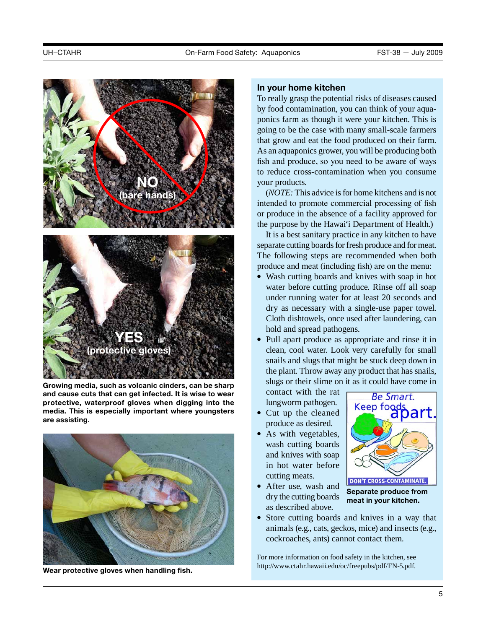

 **protective, waterproof gloves when digging into the Growing media, such as volcanic cinders, can be sharp and cause cuts that can get infected. it is wise to wear media. This is especially important where youngsters are assisting.** 



**Wear protective gloves when handling fish.** 

#### **in your home kitchen**

 As an aquaponics grower, you will be producing both To really grasp the potential risks of diseases caused by food contamination, you can think of your aquaponics farm as though it were your kitchen. This is going to be the case with many small-scale farmers that grow and eat the food produced on their farm. fish and produce, so you need to be aware of ways to reduce cross-contamination when you consume your products.

 (*NOTE:* This advice is for home kitchens and is not intended to promote commercial processing of fish or produce in the absence of a facility approved for the purpose by the Hawai'i Department of Health.)

 separate cutting boards for fresh produce and for meat. The following steps are recommended when both produce and meat (including fish) are on the menu: It is a best sanitary practice in any kitchen to have

- Wash cutting boards and knives with soap in hot water before cutting produce. Rinse off all soap under running water for at least 20 seconds and dry as necessary with a single-use paper towel. Cloth dishtowels, once used after laundering, can hold and spread pathogens.
- Pull apart produce as appropriate and rinse it in clean, cool water. Look very carefully for small snails and slugs that might be stuck deep down in the plant. Throw away any product that has snails, slugs or their slime on it as it could have come in

 contact with the rat lungworm pathogen.

- • Cut up the cleaned produce as desired.
- As with vegetables, wash cutting boards in hot water before and knives with soap cutting meats.



 • After use, wash and dry the cutting boards as described above.

**Separate produce from meat in your kitchen.** 

 • Store cutting boards and knives in a way that animals (e.g., cats, geckos, mice) and insects (e.g., cockroaches, ants) cannot contact them.

For more information on food safety in the kitchen, see [http://www.ctahr.hawaii.edu/oc/freepubs/pdf/FN-5.pdf.](http://www.ctahr.hawaii.edu/oc/freepubs/pdf/FN-5.pdf)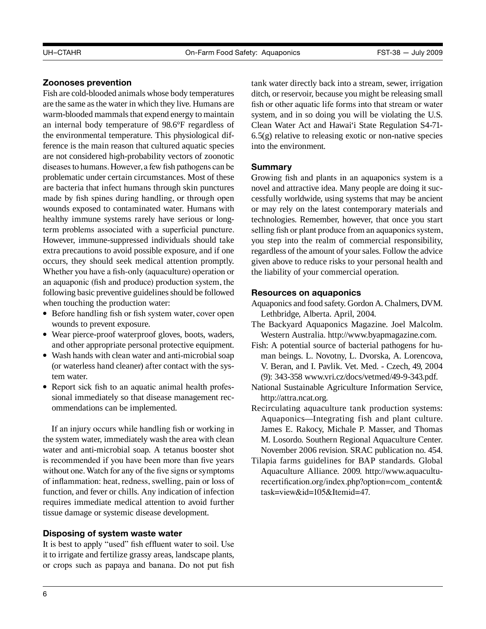# **Zoonoses prevention**

 Fish are cold-blooded animals whose body temperatures are the same as the water in which they live. Humans are warm-blooded mammals that expend energy to maintain an internal body temperature of 98.6°F regardless of diseases to humans. However, a few fish pathogens can be healthy immune systems rarely have serious or long- occurs, they should seek medical attention promptly. following basic preventive guidelines should be followed the environmental temperature. This physiological difference is the main reason that cultured aquatic species are not considered high-probability vectors of zoonotic problematic under certain circumstances. Most of these are bacteria that infect humans through skin punctures made by fish spines during handling, or through open wounds exposed to contaminated water. Humans with term problems associated with a superficial puncture. However, immune-suppressed individuals should take extra precautions to avoid possible exposure, and if one Whether you have a fish-only (aquaculture) operation or an aquaponic (fish and produce) production system, the when touching the production water:

- Before handling fish or fish system water, cover open wounds to prevent exposure.
- Wear pierce-proof waterproof gloves, boots, waders, and other appropriate personal protective equipment.
- Wash hands with clean water and anti-microbial soap (or waterless hand cleaner) after contact with the system water.
- Report sick fish to an aquatic animal health professional immediately so that disease management recommendations can be implemented.

 without one. Watch for any of the five signs or symptoms If an injury occurs while handling fish or working in the system water, immediately wash the area with clean water and anti-microbial soap. A tetanus booster shot is recommended if you have been more than five years of inflammation: heat, redness, swelling, pain or loss of function, and fever or chills. Any indication of infection requires immediate medical attention to avoid further tissue damage or systemic disease development.

# **disposing of system waste water**

 or crops such as papaya and banana. Do not put fish It is best to apply "used" fish effluent water to soil. Use it to irrigate and fertilize grassy areas, landscape plants,

tank water directly back into a stream, sewer, irrigation ditch, or reservoir, because you might be releasing small fish or other aquatic life forms into that stream or water system, and in so doing you will be violating the U.S. Clean Water Act and Hawai'i State Regulation S4-71  $6.5(g)$  relative to releasing exotic or non-native species into the environment.

## **Summary**

 you step into the realm of commercial responsibility, regardless of the amount of your sales. Follow the advice Growing fish and plants in an aquaponics system is a novel and attractive idea. Many people are doing it successfully worldwide, using systems that may be ancient or may rely on the latest contemporary materials and technologies. Remember, however, that once you start selling fish or plant produce from an aquaponics system, given above to reduce risks to your personal health and the liability of your commercial operation.

## **resources on aquaponics**

 Aquaponics and food safety. Gordon A. Chalmers, DVM. Lethbridge, Alberta. April, 2004.

- The Backyard Aquaponics Magazine. Joel Malcolm. Western Australia. [http://www.byapmagazine.com.](http://www.byapmagazine.com)
- Fish: A potential source of bacterial pathogens for human beings. L. Novotny, L. Dvorska, A. Lorencova, V. Beran, and I. Pavlik. Vet. Med. - Czech, 49, 2004 (9): 343-358 <www.vri.cz/docs/vetmed/49-9-343.pdf>.
- National Sustainable Agriculture Information Service, [http://attra.ncat.org.](http://attra.ncat.org)
- Recirculating aquaculture tank production systems: Aquaponics—Integrating fish and plant culture. James E. Rakocy, Michale P. Masser, and Thomas M. Losordo. Southern Regional Aquaculture Center. November 2006 revision. SRAC publication no. 454.
- Tilapia farms guidelines for BAP standards. Global Aquaculture Alliance. 2009. [http://www.aquacultu](http://www.aquaculturecertification.org/index.php?option=com_content&task=view&id=105&Itemid=47)[recertification.org/index.php?option=com\\_content&](http://www.aquaculturecertification.org/index.php?option=com_content&task=view&id=105&Itemid=47) [task=view&id=105&Itemid=47.](http://www.aquaculturecertification.org/index.php?option=com_content&task=view&id=105&Itemid=47)